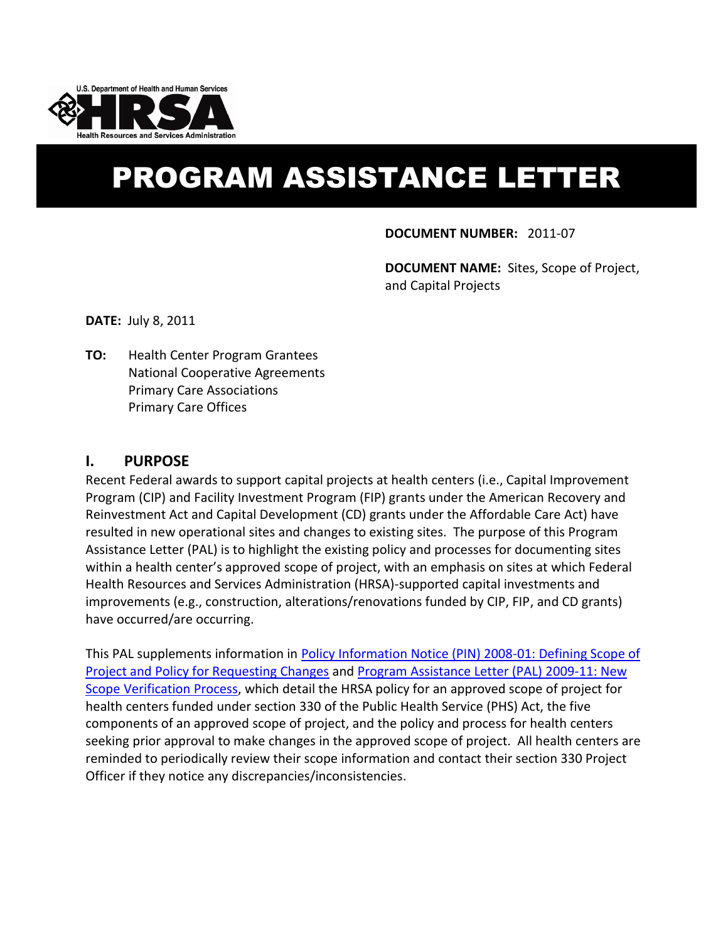

# PROGRAM ASSISTANCE LETTER

**DOCUMENT NUMBER:** 2011-07

**DOCUMENT NAME:** Sites, Scope of Project, and Capital Projects

**DATE:** July 8, 2011

**TO:** Health Center Program Grantees National Cooperative Agreements Primary Care Associations Primary Care Offices

#### **I. PURPOSE**

Recent Federal awards to support capital projects at health centers (i.e., Capital Improvement Program (CIP) and Facility Investment Program (FIP) grants under the American Recovery and Reinvestment Act and Capital Development (CD) grants under the Affordable Care Act) have resulted in new operational sites and changes to existing sites. The purpose of this Program Assistance Letter (PAL) is to highlight the existing policy and processes for documenting sites within a health center's approved scope of project, with an emphasis on sites at which Federal Health Resources and Services Administration (HRSA)-supported capital investments and improvements (e.g., construction, alterations/renovations funded by CIP, FIP, and CD grants) have occurred/are occurring.

This PAL supplements information in [Policy Information Notice \(PIN\) 2008-01: Defining Scope of](http://bphc.hrsa.gov/policiesregulations/policies/pin200801.html)  [Project and Policy for Requesting Changes](http://bphc.hrsa.gov/policiesregulations/policies/pin200801.html) and [Program Assistance Letter \(PAL\)](http://bphc.hrsa.gov/policiesregulations/policies/pal200911verification.html) 2009-11: New [Scope Verification Process,](http://bphc.hrsa.gov/policiesregulations/policies/pal200911verification.html) which detail the HRSA policy for an approved scope of project for health centers funded under section 330 of the Public Health Service (PHS) Act, the five components of an approved scope of project, and the policy and process for health centers seeking prior approval to make changes in the approved scope of project. All health centers are reminded to periodically review their scope information and contact their section 330 Project Officer if they notice any discrepancies/inconsistencies.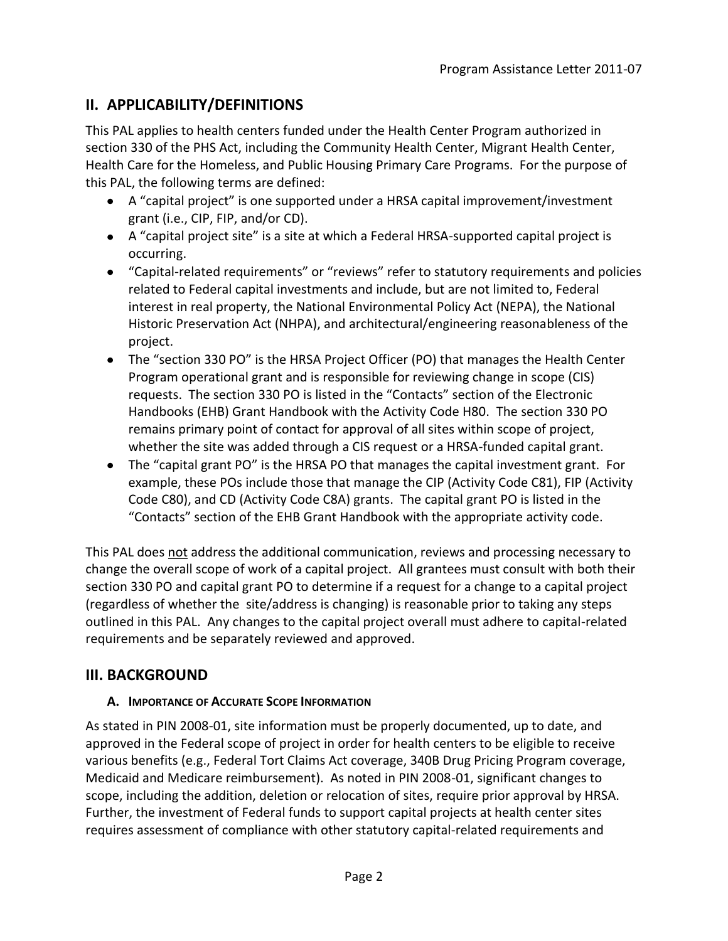# **II. APPLICABILITY/DEFINITIONS**

This PAL applies to health centers funded under the Health Center Program authorized in section 330 of the PHS Act, including the Community Health Center, Migrant Health Center, Health Care for the Homeless, and Public Housing Primary Care Programs. For the purpose of this PAL, the following terms are defined:

- A "capital project" is one supported under a HRSA capital improvement/investment grant (i.e., CIP, FIP, and/or CD).
- A "capital project site" is a site at which a Federal HRSA-supported capital project is occurring.
- "Capital-related requirements" or "reviews" refer to statutory requirements and policies related to Federal capital investments and include, but are not limited to, Federal interest in real property, the National Environmental Policy Act (NEPA), the National Historic Preservation Act (NHPA), and architectural/engineering reasonableness of the project.
- The "section 330 PO" is the HRSA Project Officer (PO) that manages the Health Center Program operational grant and is responsible for reviewing change in scope (CIS) requests. The section 330 PO is listed in the "Contacts" section of the Electronic Handbooks (EHB) Grant Handbook with the Activity Code H80. The section 330 PO remains primary point of contact for approval of all sites within scope of project, whether the site was added through a CIS request or a HRSA-funded capital grant.
- The "capital grant PO" is the HRSA PO that manages the capital investment grant. For example, these POs include those that manage the CIP (Activity Code C81), FIP (Activity Code C80), and CD (Activity Code C8A) grants. The capital grant PO is listed in the "Contacts" section of the EHB Grant Handbook with the appropriate activity code.

This PAL does not address the additional communication, reviews and processing necessary to change the overall scope of work of a capital project. All grantees must consult with both their section 330 PO and capital grant PO to determine if a request for a change to a capital project (regardless of whether the site/address is changing) is reasonable prior to taking any steps outlined in this PAL. Any changes to the capital project overall must adhere to capital-related requirements and be separately reviewed and approved.

# **III. BACKGROUND**

#### **A. IMPORTANCE OF ACCURATE SCOPE INFORMATION**

As stated in PIN 2008-01, site information must be properly documented, up to date, and approved in the Federal scope of project in order for health centers to be eligible to receive various benefits (e.g., Federal Tort Claims Act coverage, 340B Drug Pricing Program coverage, Medicaid and Medicare reimbursement). As noted in PIN 2008-01, significant changes to scope, including the addition, deletion or relocation of sites, require prior approval by HRSA. Further, the investment of Federal funds to support capital projects at health center sites requires assessment of compliance with other statutory capital-related requirements and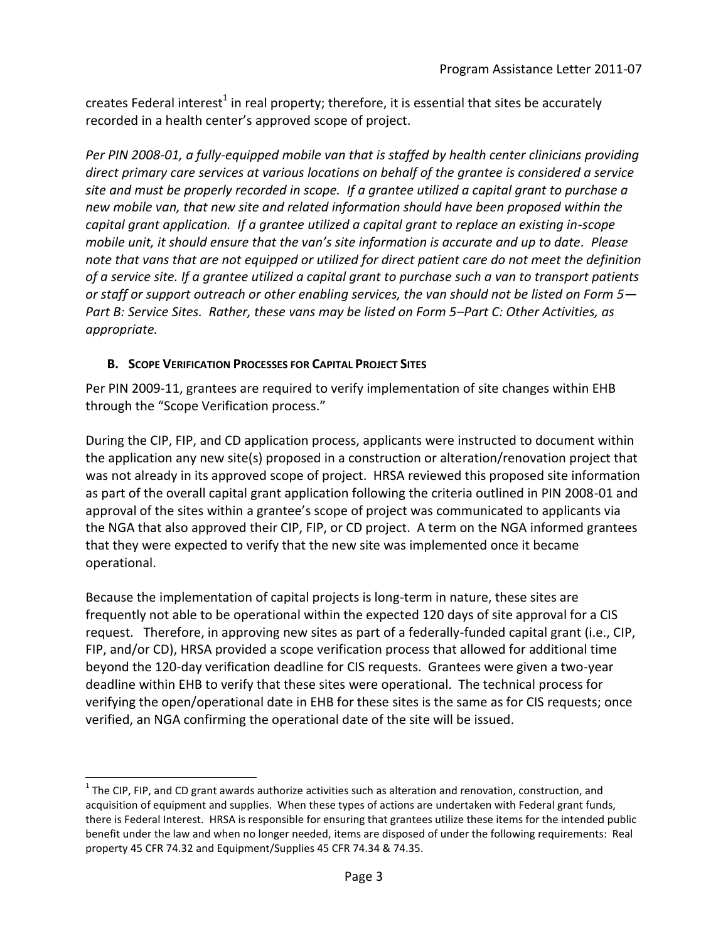creates Federal interest<sup>1</sup> in real property; therefore, it is essential that sites be accurately recorded in a health center's approved scope of project.

*Per PIN 2008-01, a fully-equipped mobile van that is staffed by health center clinicians providing direct primary care services at various locations on behalf of the grantee is considered a service site and must be properly recorded in scope. If a grantee utilized a capital grant to purchase a new mobile van, that new site and related information should have been proposed within the capital grant application. If a grantee utilized a capital grant to replace an existing in-scope mobile unit, it should ensure that the van's site information is accurate and up to date. Please note that vans that are not equipped or utilized for direct patient care do not meet the definition of a service site. If a grantee utilized a capital grant to purchase such a van to transport patients or staff or support outreach or other enabling services, the van should not be listed on Form 5— Part B: Service Sites. Rather, these vans may be listed on Form 5–Part C: Other Activities, as appropriate.*

#### **B. SCOPE VERIFICATION PROCESSES FOR CAPITAL PROJECT SITES**

 $\overline{a}$ 

Per PIN 2009-11, grantees are required to verify implementation of site changes within EHB through the "Scope Verification process."

During the CIP, FIP, and CD application process, applicants were instructed to document within the application any new site(s) proposed in a construction or alteration/renovation project that was not already in its approved scope of project. HRSA reviewed this proposed site information as part of the overall capital grant application following the criteria outlined in PIN 2008-01 and approval of the sites within a grantee's scope of project was communicated to applicants via the NGA that also approved their CIP, FIP, or CD project. A term on the NGA informed grantees that they were expected to verify that the new site was implemented once it became operational.

Because the implementation of capital projects is long-term in nature, these sites are frequently not able to be operational within the expected 120 days of site approval for a CIS request. Therefore, in approving new sites as part of a federally-funded capital grant (i.e., CIP, FIP, and/or CD), HRSA provided a scope verification process that allowed for additional time beyond the 120-day verification deadline for CIS requests. Grantees were given a two-year deadline within EHB to verify that these sites were operational. The technical process for verifying the open/operational date in EHB for these sites is the same as for CIS requests; once verified, an NGA confirming the operational date of the site will be issued.

 $^1$  The CIP, FIP, and CD grant awards authorize activities such as alteration and renovation, construction, and acquisition of equipment and supplies. When these types of actions are undertaken with Federal grant funds, there is Federal Interest. HRSA is responsible for ensuring that grantees utilize these items for the intended public benefit under the law and when no longer needed, items are disposed of under the following requirements: Real property 45 CFR 74.32 and Equipment/Supplies 45 CFR 74.34 & 74.35.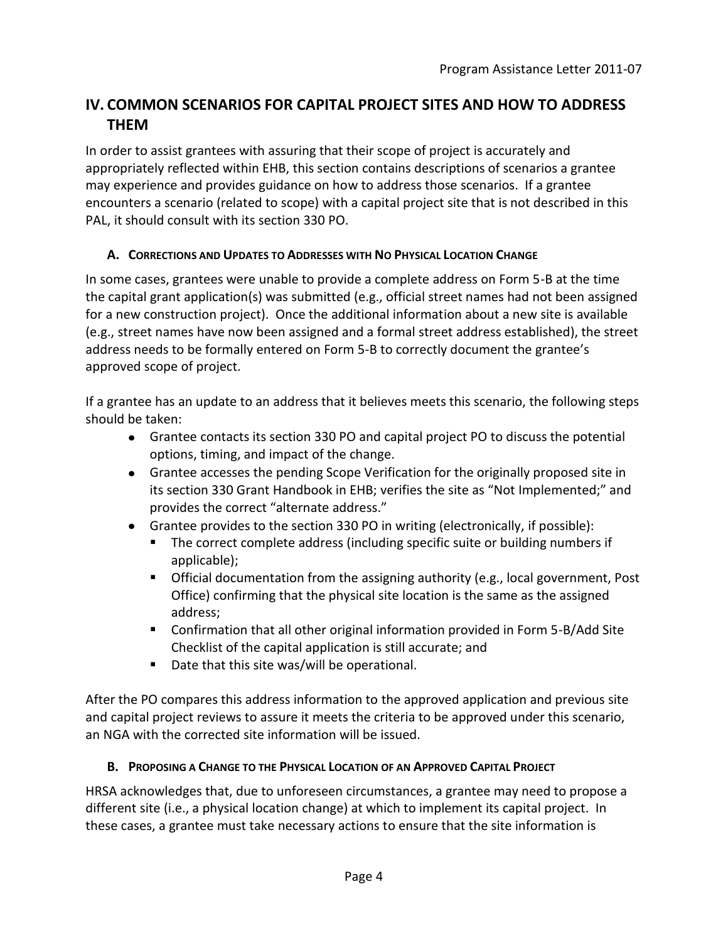# **IV. COMMON SCENARIOS FOR CAPITAL PROJECT SITES AND HOW TO ADDRESS THEM**

In order to assist grantees with assuring that their scope of project is accurately and appropriately reflected within EHB, this section contains descriptions of scenarios a grantee may experience and provides guidance on how to address those scenarios. If a grantee encounters a scenario (related to scope) with a capital project site that is not described in this PAL, it should consult with its section 330 PO.

#### **A. CORRECTIONS AND UPDATES TO ADDRESSES WITH NO PHYSICAL LOCATION CHANGE**

In some cases, grantees were unable to provide a complete address on Form 5-B at the time the capital grant application(s) was submitted (e.g., official street names had not been assigned for a new construction project). Once the additional information about a new site is available (e.g., street names have now been assigned and a formal street address established), the street address needs to be formally entered on Form 5-B to correctly document the grantee's approved scope of project.

If a grantee has an update to an address that it believes meets this scenario, the following steps should be taken:

- Grantee contacts its section 330 PO and capital project PO to discuss the potential options, timing, and impact of the change.
- Grantee accesses the pending Scope Verification for the originally proposed site in its section 330 Grant Handbook in EHB; verifies the site as "Not Implemented;" and provides the correct "alternate address."
- Grantee provides to the section 330 PO in writing (electronically, if possible):
	- The correct complete address (including specific suite or building numbers if applicable);
	- **Dear** Official documentation from the assigning authority (e.g., local government, Post Office) confirming that the physical site location is the same as the assigned address;
	- Confirmation that all other original information provided in Form 5-B/Add Site Checklist of the capital application is still accurate; and
	- Date that this site was/will be operational.

After the PO compares this address information to the approved application and previous site and capital project reviews to assure it meets the criteria to be approved under this scenario, an NGA with the corrected site information will be issued.

## **B. PROPOSING A CHANGE TO THE PHYSICAL LOCATION OF AN APPROVED CAPITAL PROJECT**

HRSA acknowledges that, due to unforeseen circumstances, a grantee may need to propose a different site (i.e., a physical location change) at which to implement its capital project. In these cases, a grantee must take necessary actions to ensure that the site information is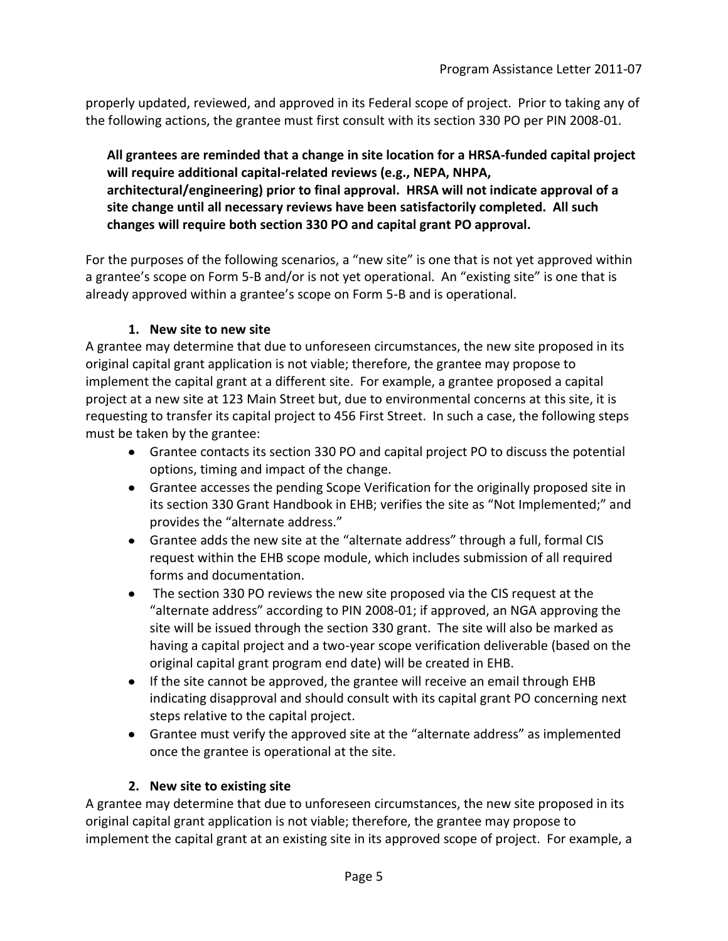properly updated, reviewed, and approved in its Federal scope of project. Prior to taking any of the following actions, the grantee must first consult with its section 330 PO per PIN 2008-01.

**All grantees are reminded that a change in site location for a HRSA-funded capital project will require additional capital-related reviews (e.g., NEPA, NHPA, architectural/engineering) prior to final approval. HRSA will not indicate approval of a site change until all necessary reviews have been satisfactorily completed. All such changes will require both section 330 PO and capital grant PO approval.**

For the purposes of the following scenarios, a "new site" is one that is not yet approved within a grantee's scope on Form 5-B and/or is not yet operational. An "existing site" is one that is already approved within a grantee's scope on Form 5-B and is operational.

#### **1. New site to new site**

A grantee may determine that due to unforeseen circumstances, the new site proposed in its original capital grant application is not viable; therefore, the grantee may propose to implement the capital grant at a different site. For example, a grantee proposed a capital project at a new site at 123 Main Street but, due to environmental concerns at this site, it is requesting to transfer its capital project to 456 First Street. In such a case, the following steps must be taken by the grantee:

- Grantee contacts its section 330 PO and capital project PO to discuss the potential options, timing and impact of the change.
- Grantee accesses the pending Scope Verification for the originally proposed site in its section 330 Grant Handbook in EHB; verifies the site as "Not Implemented;" and provides the "alternate address."
- Grantee adds the new site at the "alternate address" through a full, formal CIS request within the EHB scope module, which includes submission of all required forms and documentation.
- The section 330 PO reviews the new site proposed via the CIS request at the "alternate address" according to PIN 2008-01; if approved, an NGA approving the site will be issued through the section 330 grant. The site will also be marked as having a capital project and a two-year scope verification deliverable (based on the original capital grant program end date) will be created in EHB.
- If the site cannot be approved, the grantee will receive an email through EHB indicating disapproval and should consult with its capital grant PO concerning next steps relative to the capital project.
- Grantee must verify the approved site at the "alternate address" as implemented once the grantee is operational at the site.

## **2. New site to existing site**

A grantee may determine that due to unforeseen circumstances, the new site proposed in its original capital grant application is not viable; therefore, the grantee may propose to implement the capital grant at an existing site in its approved scope of project. For example, a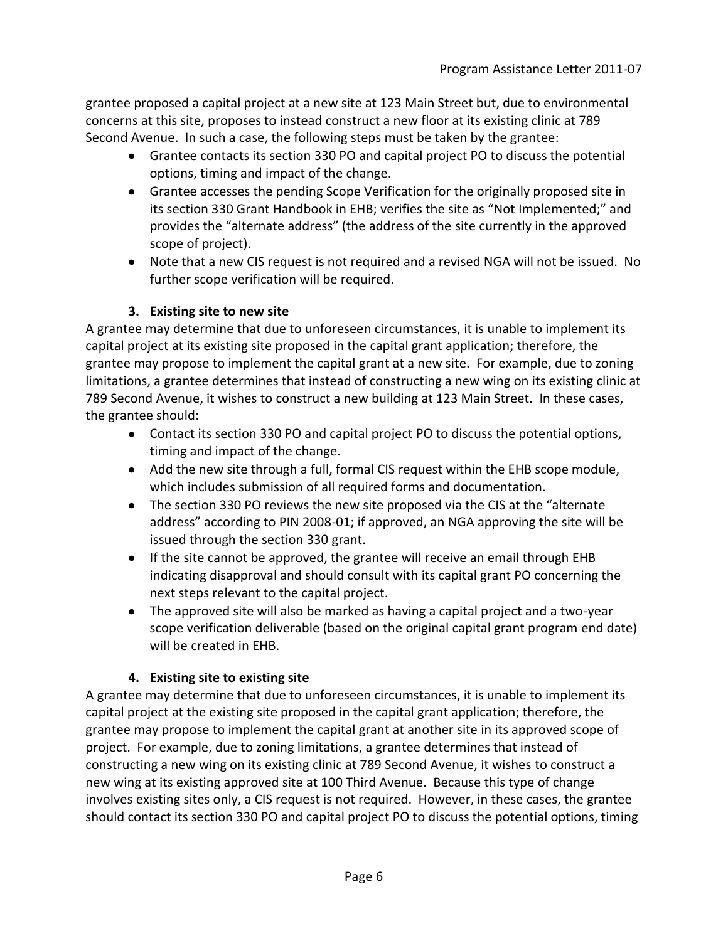grantee proposed a capital project at a new site at 123 Main Street but, due to environmental concerns at this site, proposes to instead construct a new floor at its existing clinic at 789 Second Avenue. In such a case, the following steps must be taken by the grantee:

- Grantee contacts its section 330 PO and capital project PO to discuss the potential options, timing and impact of the change.
- Grantee accesses the pending Scope Verification for the originally proposed site in its section 330 Grant Handbook in EHB; verifies the site as "Not Implemented;" and provides the "alternate address" (the address of the site currently in the approved scope of project).
- Note that a new CIS request is not required and a revised NGA will not be issued. No further scope verification will be required.

## **3. Existing site to new site**

A grantee may determine that due to unforeseen circumstances, it is unable to implement its capital project at its existing site proposed in the capital grant application; therefore, the grantee may propose to implement the capital grant at a new site. For example, due to zoning limitations, a grantee determines that instead of constructing a new wing on its existing clinic at 789 Second Avenue, it wishes to construct a new building at 123 Main Street. In these cases, the grantee should:

- Contact its section 330 PO and capital project PO to discuss the potential options, timing and impact of the change.
- Add the new site through a full, formal CIS request within the EHB scope module, which includes submission of all required forms and documentation.
- The section 330 PO reviews the new site proposed via the CIS at the "alternate address" according to PIN 2008-01; if approved, an NGA approving the site will be issued through the section 330 grant.
- If the site cannot be approved, the grantee will receive an email through EHB indicating disapproval and should consult with its capital grant PO concerning the next steps relevant to the capital project.
- The approved site will also be marked as having a capital project and a two-year scope verification deliverable (based on the original capital grant program end date) will be created in EHB.

## **4. Existing site to existing site**

A grantee may determine that due to unforeseen circumstances, it is unable to implement its capital project at the existing site proposed in the capital grant application; therefore, the grantee may propose to implement the capital grant at another site in its approved scope of project. For example, due to zoning limitations, a grantee determines that instead of constructing a new wing on its existing clinic at 789 Second Avenue, it wishes to construct a new wing at its existing approved site at 100 Third Avenue. Because this type of change involves existing sites only, a CIS request is not required. However, in these cases, the grantee should contact its section 330 PO and capital project PO to discuss the potential options, timing